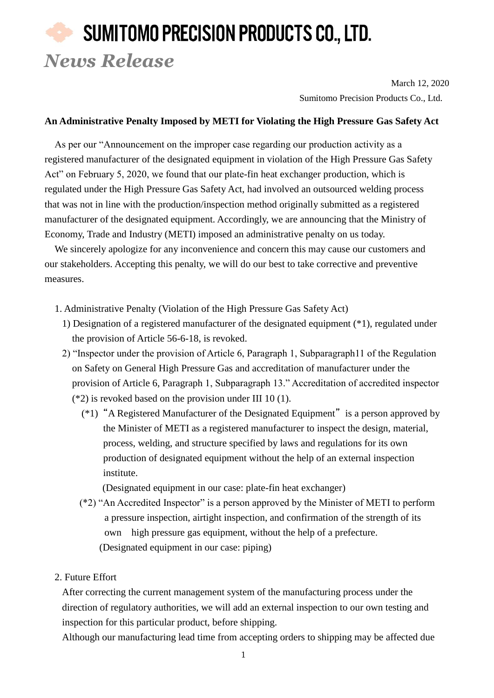## SUMITOMO PRECISION PRODUCTS CO., LTD. *News Release*

March 12, 2020 Sumitomo Precision Products Co., Ltd.

## **An Administrative Penalty Imposed by METI for Violating the High Pressure Gas Safety Act**

As per our "Announcement on the improper case regarding our production activity as a registered manufacturer of the designated equipment in violation of the High Pressure Gas Safety Act" on February 5, 2020, we found that our plate-fin heat exchanger production, which is regulated under the High Pressure Gas Safety Act, had involved an outsourced welding process that was not in line with the production/inspection method originally submitted as a registered manufacturer of the designated equipment. Accordingly, we are announcing that the Ministry of Economy, Trade and Industry (METI) imposed an administrative penalty on us today.

We sincerely apologize for any inconvenience and concern this may cause our customers and our stakeholders. Accepting this penalty, we will do our best to take corrective and preventive measures.

- 1. Administrative Penalty (Violation of the High Pressure Gas Safety Act)
	- 1) Designation of a registered manufacturer of the designated equipment (\*1), regulated under the provision of Article 56-6-18, is revoked.
	- 2) "Inspector under the provision of Article 6, Paragraph 1, Subparagraph11 of the Regulation on Safety on General High Pressure Gas and accreditation of manufacturer under the provision of Article 6, Paragraph 1, Subparagraph 13." Accreditation of accredited inspector (\*2) is revoked based on the provision under III 10 (1).
		- (\*1) "A Registered Manufacturer of the Designated Equipment" is a person approved by the Minister of METI as a registered manufacturer to inspect the design, material, process, welding, and structure specified by laws and regulations for its own production of designated equipment without the help of an external inspection institute.

(Designated equipment in our case: plate-fin heat exchanger)

- (\*2) "An Accredited Inspector" is a person approved by the Minister of METI to perform a pressure inspection, airtight inspection, and confirmation of the strength of its own high pressure gas equipment, without the help of a prefecture. (Designated equipment in our case: piping)
- 2. Future Effort

After correcting the current management system of the manufacturing process under the direction of regulatory authorities, we will add an external inspection to our own testing and inspection for this particular product, before shipping.

Although our manufacturing lead time from accepting orders to shipping may be affected due